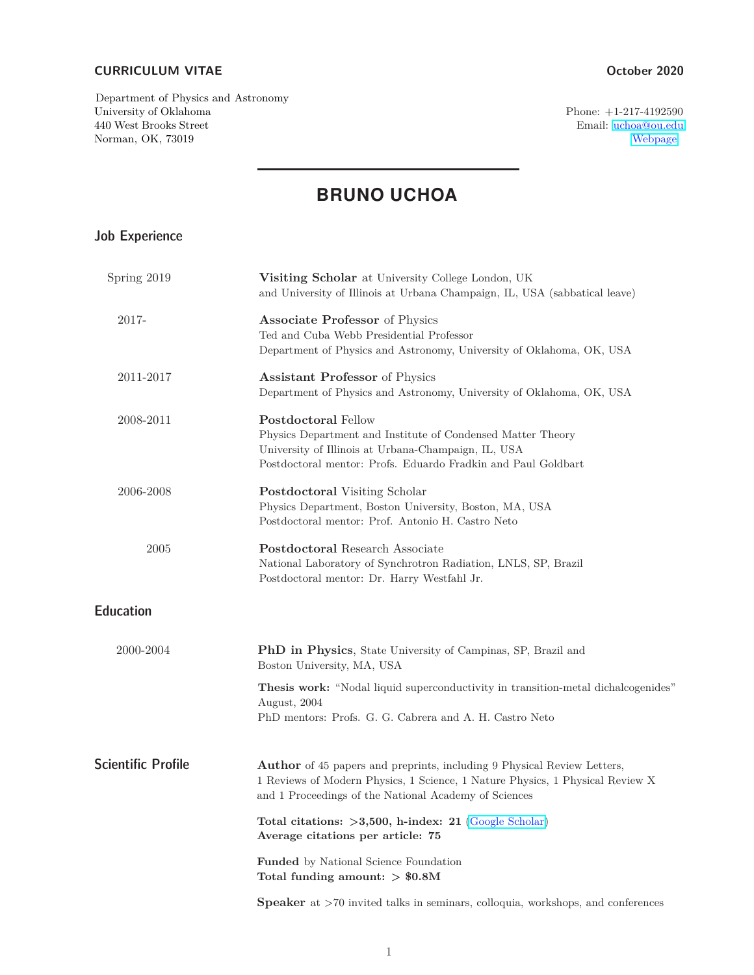#### **CURRICULUM VITAE October 2020**

Department of Physics and Astronomy University of Oklahoma Phone:  $+1-217-4192590$ <br>440 West Brooks Street Email: uchoa@ou.edu 440 West Brooks Street Email: [uchoa@ou.edu](mailto:uchoa@ou.edu) Norman, OK, 73019

# **BRUNO UCHOA**

### Job Experience

| Spring 2019               | <b>Visiting Scholar</b> at University College London, UK<br>and University of Illinois at Urbana Champaign, IL, USA (sabbatical leave)                                                                                   |
|---------------------------|--------------------------------------------------------------------------------------------------------------------------------------------------------------------------------------------------------------------------|
| 2017-                     | <b>Associate Professor</b> of Physics<br>Ted and Cuba Webb Presidential Professor<br>Department of Physics and Astronomy, University of Oklahoma, OK, USA                                                                |
| 2011-2017                 | <b>Assistant Professor</b> of Physics<br>Department of Physics and Astronomy, University of Oklahoma, OK, USA                                                                                                            |
| 2008-2011                 | <b>Postdoctoral Fellow</b><br>Physics Department and Institute of Condensed Matter Theory<br>University of Illinois at Urbana-Champaign, IL, USA<br>Postdoctoral mentor: Profs. Eduardo Fradkin and Paul Goldbart        |
| 2006-2008                 | <b>Postdoctoral Visiting Scholar</b><br>Physics Department, Boston University, Boston, MA, USA<br>Postdoctoral mentor: Prof. Antonio H. Castro Neto                                                                      |
| 2005                      | Postdoctoral Research Associate<br>National Laboratory of Synchrotron Radiation, LNLS, SP, Brazil<br>Postdoctoral mentor: Dr. Harry Westfahl Jr.                                                                         |
| <b>Education</b>          |                                                                                                                                                                                                                          |
| 2000-2004                 | PhD in Physics, State University of Campinas, SP, Brazil and<br>Boston University, MA, USA                                                                                                                               |
|                           | <b>Thesis work:</b> "Nodal liquid superconductivity in transition-metal dichalcogenides"<br>August, 2004<br>PhD mentors: Profs. G. G. Cabrera and A. H. Castro Neto                                                      |
| <b>Scientific Profile</b> | <b>Author</b> of 45 papers and preprints, including 9 Physical Review Letters,<br>1 Reviews of Modern Physics, 1 Science, 1 Nature Physics, 1 Physical Review X<br>and 1 Proceedings of the National Academy of Sciences |
|                           | Total citations: $>3,500$ , h-index: 21 (Google Scholar)<br>Average citations per article: 75                                                                                                                            |
|                           | Funded by National Science Foundation<br>Total funding amount: $> $0.8M$                                                                                                                                                 |
|                           | <b>Speaker</b> at $>70$ invited talks in seminars, colloquia, workshops, and conferences                                                                                                                                 |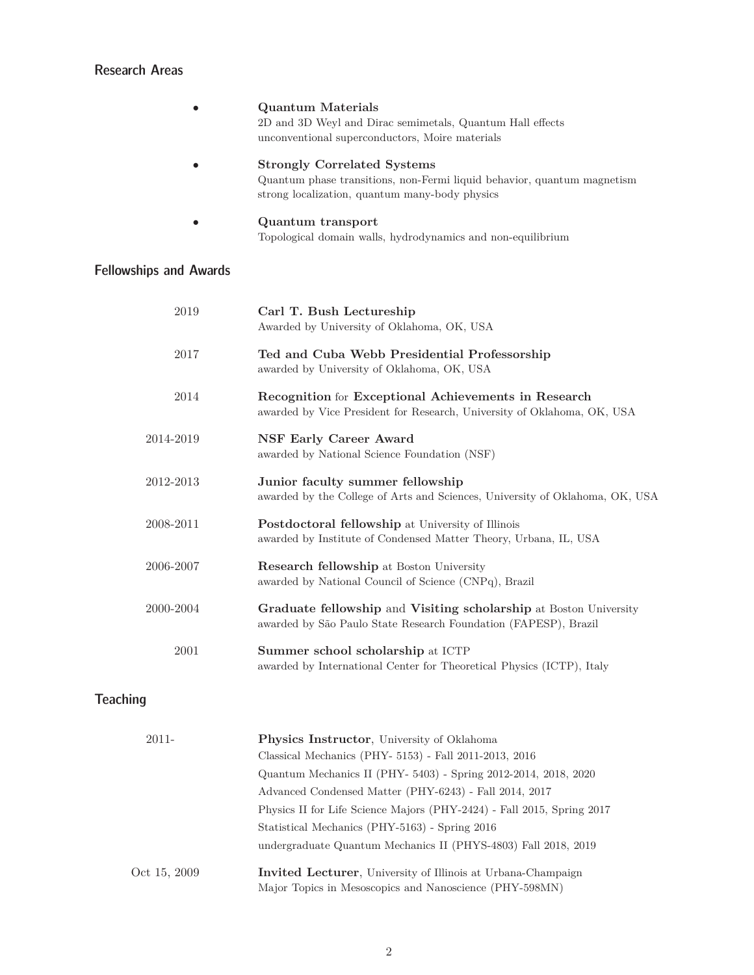## Research Areas

|                               | <b>Quantum Materials</b>                                                     |
|-------------------------------|------------------------------------------------------------------------------|
|                               | 2D and 3D Weyl and Dirac semimetals, Quantum Hall effects                    |
|                               | unconventional superconductors, Moire materials                              |
|                               | <b>Strongly Correlated Systems</b>                                           |
|                               | Quantum phase transitions, non-Fermi liquid behavior, quantum magnetism      |
|                               | strong localization, quantum many-body physics                               |
|                               | Quantum transport                                                            |
|                               | Topological domain walls, hydrodynamics and non-equilibrium                  |
| <b>Fellowships and Awards</b> |                                                                              |
| 2019                          | Carl T. Bush Lectureship                                                     |
|                               | Awarded by University of Oklahoma, OK, USA                                   |
|                               |                                                                              |
| 2017                          | Ted and Cuba Webb Presidential Professorship                                 |
|                               | awarded by University of Oklahoma, OK, USA                                   |
|                               |                                                                              |
| 2014                          | Recognition for Exceptional Achievements in Research                         |
|                               | awarded by Vice President for Research, University of Oklahoma, OK, USA      |
| 2014-2019                     | <b>NSF Early Career Award</b>                                                |
|                               | awarded by National Science Foundation (NSF)                                 |
|                               |                                                                              |
| 2012-2013                     | Junior faculty summer fellowship                                             |
|                               | awarded by the College of Arts and Sciences, University of Oklahoma, OK, USA |
| 2008-2011                     | Postdoctoral fellowship at University of Illinois                            |
|                               | awarded by Institute of Condensed Matter Theory, Urbana, IL, USA             |
|                               |                                                                              |
| 2006-2007                     | Research fellowship at Boston University                                     |
|                               | awarded by National Council of Science (CNPq), Brazil                        |
| 2000-2004                     | Graduate fellowship and Visiting scholarship at Boston University            |
|                               | awarded by São Paulo State Research Foundation (FAPESP), Brazil              |
|                               |                                                                              |
| 2001                          | Summer school scholarship at ICTP                                            |
|                               | awarded by International Center for Theoretical Physics (ICTP), Italy        |

# Teaching

| <b>Physics Instructor</b> , University of Oklahoma                                                                              |
|---------------------------------------------------------------------------------------------------------------------------------|
| Classical Mechanics (PHY- 5153) - Fall 2011-2013, 2016                                                                          |
| Quantum Mechanics II (PHY-5403) - Spring 2012-2014, 2018, 2020                                                                  |
| Advanced Condensed Matter (PHY-6243) - Fall 2014, 2017                                                                          |
| Physics II for Life Science Majors (PHY-2424) - Fall 2015, Spring 2017                                                          |
| Statistical Mechanics (PHY-5163) - Spring 2016                                                                                  |
| undergraduate Quantum Mechanics II (PHYS-4803) Fall 2018, 2019                                                                  |
| <b>Invited Lecturer</b> , University of Illinois at Urbana-Champaign<br>Major Topics in Mesoscopics and Nanoscience (PHY-598MN) |
|                                                                                                                                 |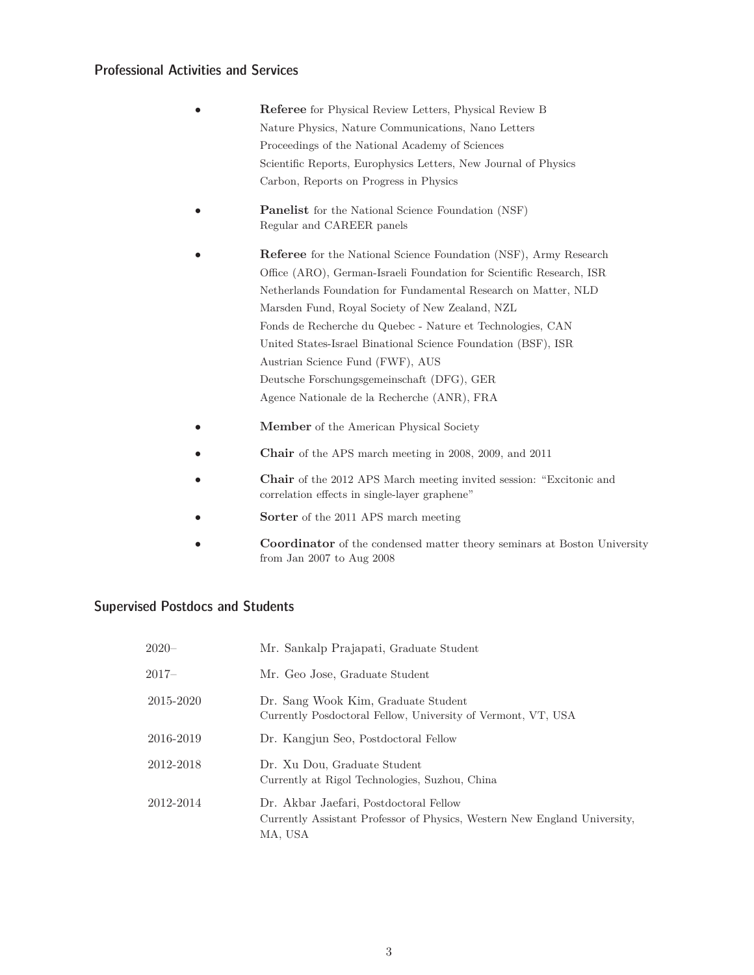#### Professional Activities and Services

- **Referee** for Physical Review Letters, Physical Review B Nature Physics, Nature Communications, Nano Letters Proceedings of the National Academy of Sciences Scientific Reports, Europhysics Letters, New Journal of Physics Carbon, Reports on Progress in Physics
- **Panelist** for the National Science Foundation (NSF) Regular and CAREER panels
- **Referee** for the National Science Foundation (NSF), Army Research Office (ARO), German-Israeli Foundation for Scientific Research, ISR Netherlands Foundation for Fundamental Research on Matter, NLD Marsden Fund, Royal Society of New Zealand, NZL Fonds de Recherche du Quebec - Nature et Technologies, CAN United States-Israel Binational Science Foundation (BSF), ISR Austrian Science Fund (FWF), AUS Deutsche Forschungsgemeinschaft (DFG), GER Agence Nationale de la Recherche (ANR), FRA
- **Member** of the American Physical Society
- **Chair** of the APS march meeting in 2008, 2009, and 2011
- **Chair** of the 2012 APS March meeting invited session: "Excitonic and correlation effects in single-layer graphene"
- **Sorter** of the 2011 APS march meeting
- **Coordinator** of the condensed matter theory seminars at Boston University from Jan 2007 to Aug 2008

#### Supervised Postdocs and Students

| $2020 -$  | Mr. Sankalp Prajapati, Graduate Student                                                                                        |
|-----------|--------------------------------------------------------------------------------------------------------------------------------|
| 2017–     | Mr. Geo Jose, Graduate Student                                                                                                 |
| 2015-2020 | Dr. Sang Wook Kim, Graduate Student<br>Currently Posdoctoral Fellow, University of Vermont, VT, USA                            |
| 2016-2019 | Dr. Kangjun Seo, Postdoctoral Fellow                                                                                           |
| 2012-2018 | Dr. Xu Dou, Graduate Student<br>Currently at Rigol Technologies, Suzhou, China                                                 |
| 2012-2014 | Dr. Akbar Jaefari, Postdoctoral Fellow<br>Currently Assistant Professor of Physics, Western New England University,<br>MA, USA |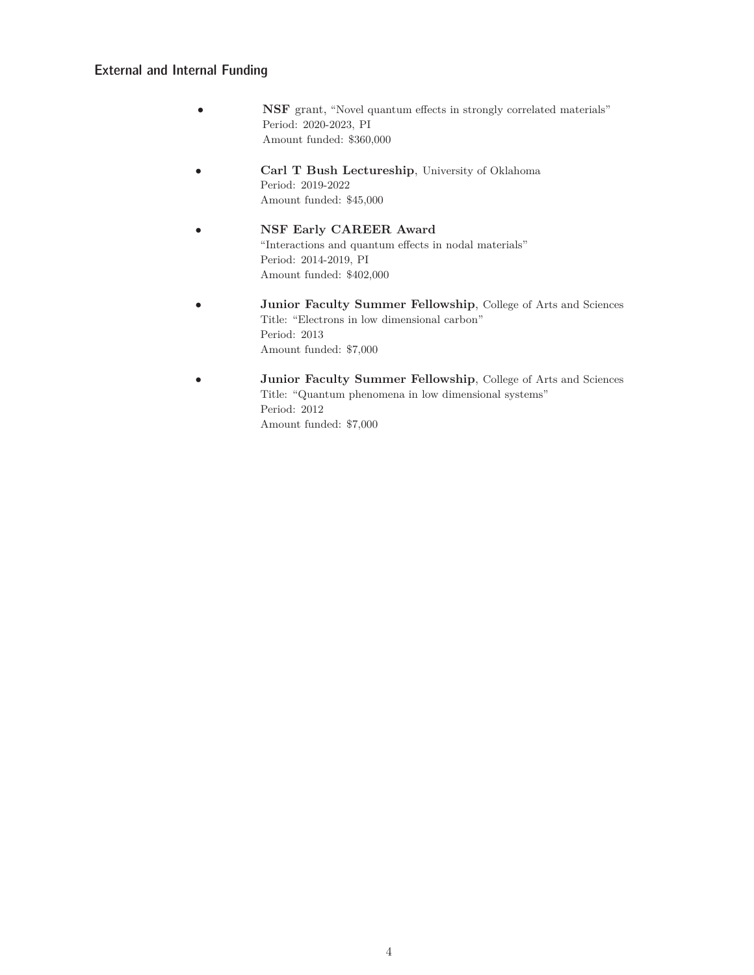#### External and Internal Funding

- **NSF** grant, "Novel quantum effects in strongly correlated materials" Period: 2020-2023, PI Amount funded: \$360,000
- **Carl T Bush Lectureship**, University of Oklahoma Period: 2019-2022 Amount funded: \$45,000
- **NSF Early CAREER Award** "Interactions and quantum effects in nodal materials" Period: 2014-2019, PI Amount funded: \$402,000
- **Junior Faculty Summer Fellowship**, College of Arts and Sciences Title: "Electrons in low dimensional carbon" Period: 2013 Amount funded: \$7,000
- **Junior Faculty Summer Fellowship**, College of Arts and Sciences Title: "Quantum phenomena in low dimensional systems" Period: 2012 Amount funded: \$7,000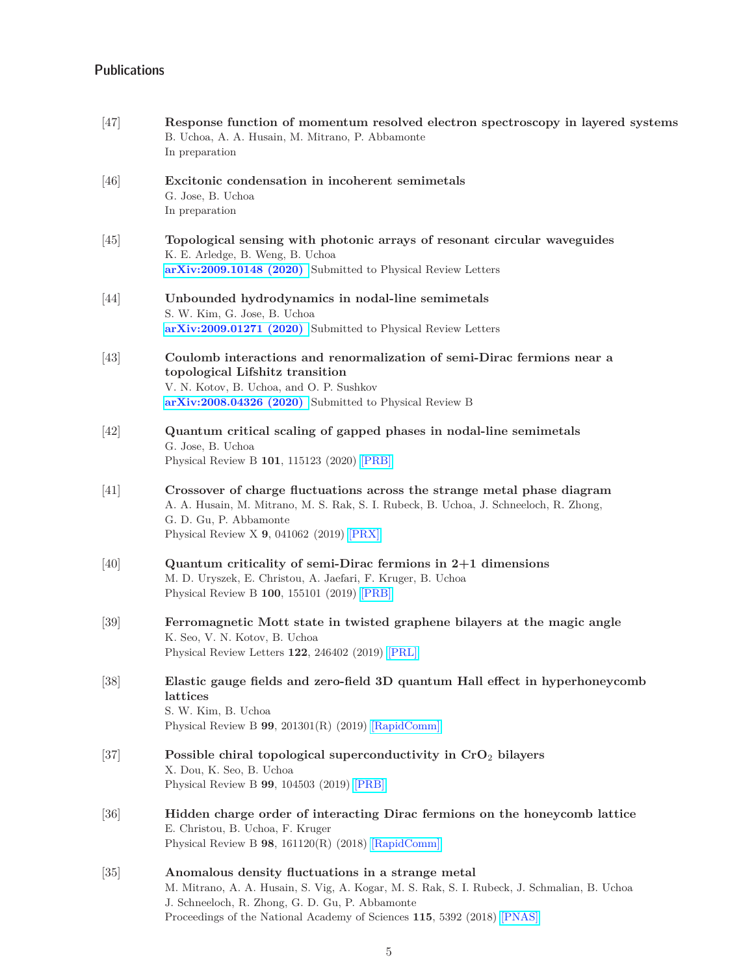#### **Publications**

- [47] **Response function of momentum resolved electron spectroscopy in layered systems** B. Uchoa, A. A. Husain, M. Mitrano, P. Abbamonte In preparation
- [46] **Excitonic condensation in incoherent semimetals** G. Jose, B. Uchoa In preparation
- [45] **Topological sensing with photonic arrays of resonant circular waveguides** K. E. Arledge, B. Weng, B. Uchoa **[arXiv:2009.10148 \(2020\)](https://arxiv.org/abs/2009.10148)** Submitted to Physical Review Letters
- [44] **Unbounded hydrodynamics in nodal-line semimetals** S. W. Kim, G. Jose, B. Uchoa **[arXiv:2009.01271 \(2020\)](https://arxiv.org/abs/2009.01271)** Submitted to Physical Review Letters
- [43] **Coulomb interactions and renormalization of semi-Dirac fermions near a topological Lifshitz transition** V. N. Kotov, B. Uchoa, and O. P. Sushkov **[arXiv:2008.04326 \(2020\)](https://arxiv.org/abs/2008.04326)** Submitted to Physical Review B
- [42] **Quantum critical scaling of gapped phases in nodal-line semimetals** G. Jose, B. Uchoa Physical Review B **101**, 115123 (2020) [\[PRB\]](https://doi.org/10.1103/PhysRevB.101.115123)
- [41] **Crossover of charge fluctuations across the strange metal phase diagram** A. A. Husain, M. Mitrano, M. S. Rak, S. I. Rubeck, B. Uchoa, J. Schneeloch, R. Zhong, G. D. Gu, P. Abbamonte Physical Review X **9**, 041062 (2019) [\[PRX\]](https://doi.org/10.1103/PhysRevX.9.041062)
- [40] **Quantum criticality of semi-Dirac fermions in 2+1 dimensions** M. D. Uryszek, E. Christou, A. Jaefari, F. Kruger, B. Uchoa Physical Review B **100**, 155101 (2019) [\[PRB\]](https://doi.org/10.1103/PhysRevB.100.155101)
- [39] **Ferromagnetic Mott state in twisted graphene bilayers at the magic angle** K. Seo, V. N. Kotov, B. Uchoa Physical Review Letters **122**, 246402 (2019) [\[PRL\]](https://doi.org/10.1103/PhysRevLett.122.246402)
- [38] **Elastic gauge fields and zero-field 3D quantum Hall effect in hyperhoneycomb lattices** S. W. Kim, B. Uchoa Physical Review B **99**, 201301(R) (2019) [\[RapidComm\]](https://doi.org/10.1103/PhysRevB.99.201301)
- [37] **Possible chiral topological superconductivity in CrO**2 **bilayers** X. Dou, K. Seo, B. Uchoa Physical Review B **99**, 104503 (2019) [\[PRB\]](https://doi.org/10.1103/PhysRevB.99.104503)
- [36] **Hidden charge order of interacting Dirac fermions on the honeycomb lattice** E. Christou, B. Uchoa, F. Kruger Physical Review B **98**, 161120(R) (2018) [\[RapidComm\]](https://doi.org/10.1103/PhysRevB.98.161120)
- [35] **Anomalous density fluctuations in a strange metal** M. Mitrano, A. A. Husain, S. Vig, A. Kogar, M. S. Rak, S. I. Rubeck, J. Schmalian, B. Uchoa J. Schneeloch, R. Zhong, G. D. Gu, P. Abbamonte Proceedings of the National Academy of Sciences **115**, 5392 (2018) [\[PNAS\]](https://doi.org/10.1073/pnas.1721495115)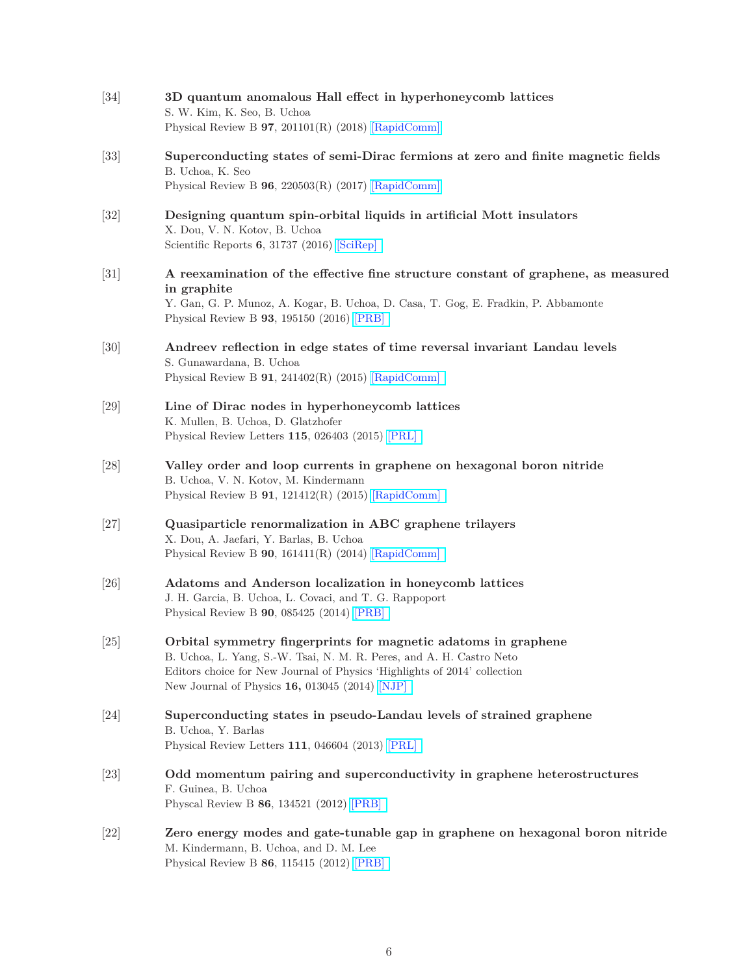[34] **3D quantum anomalous Hall effect in hyperhoneycomb lattices** S. W. Kim, K. Seo, B. Uchoa Physical Review B **97**, 201101(R) (2018) [\[RapidComm\]](https://doi.org/10.1103/PhysRevB.97.201101) [33] **Superconducting states of semi-Dirac fermions at zero and finite magnetic fields** B. Uchoa, K. Seo Physical Review B **96**, 220503(R) (2017) [\[RapidComm\]](https://doi.org/10.1103/PhysRevB.96.220503) [32] **Designing quantum spin-orbital liquids in artificial Mott insulators** X. Dou, V. N. Kotov, B. Uchoa Scientific Reports **6**, 31737 (2016) [\[SciRep\]](http://www.nature.com/articles/srep31737) [31] **A reexamination of the effective fine structure constant of graphene, as measured in graphite** Y. Gan, G. P. Munoz, A. Kogar, B. Uchoa, D. Casa, T. Gog, E. Fradkin, P. Abbamonte Physical Review B **93**, 195150 (2016) [\[PRB\]](http://dx.doi.org/10.1103/PhysRevB.93.195150) [30] **Andreev reflection in edge states of time reversal invariant Landau levels** S. Gunawardana, B. Uchoa Physical Review B **91**, 241402(R) (2015) [\[RapidComm\]](http://dx.doi.org/10.1103/PhysRevB.91.241402) [29] **Line of Dirac nodes in hyperhoneycomb lattices** K. Mullen, B. Uchoa, D. Glatzhofer Physical Review Letters **115**, 026403 (2015) [\[PRL\]](http://dx.doi.org/10.1103/PhysRevLett.115.026403) [28] **Valley order and loop currents in graphene on hexagonal boron nitride** B. Uchoa, V. N. Kotov, M. Kindermann Physical Review B **91**, 121412(R) (2015) [\[RapidComm\]](http://dx.doi.org/10.1103/PhysRevB.91.121412) [27] **Quasiparticle renormalization in ABC graphene trilayers** X. Dou, A. Jaefari, Y. Barlas, B. Uchoa Physical Review B **90**, 161411(R) (2014) [\[RapidComm\]](http://dx.doi.org/10.1103/PhysRevB.90.161411) [26] **Adatoms and Anderson localization in honeycomb lattices** J. H. Garcia, B. Uchoa, L. Covaci, and T. G. Rappoport Physical Review B **90**, 085425 (2014) [\[PRB\]](http://journals.aps.org/prb/abstract/10.1103/PhysRevB.90.085425) [25] **Orbital symmetry fingerprints for magnetic adatoms in graphene** B. Uchoa, L. Yang, S.-W. Tsai, N. M. R. Peres, and A. H. Castro Neto Editors choice for New Journal of Physics 'Highlights of 2014' collection New Journal of Physics **16,** 013045 (2014) [\[NJP\]](http://stacks.iop.org/1367-2630/16/013045) [24] **Superconducting states in pseudo-Landau levels of strained graphene** B. Uchoa, Y. Barlas Physical Review Letters **111**, 046604 (2013) [\[PRL\]](http://link.aps.org/doi/10.1103/PhysRevLett.111.046604) [23] **Odd momentum pairing and superconductivity in graphene heterostructures** F. Guinea, B. Uchoa Physcal Review B **86**, 134521 (2012) [\[PRB\]](http://dx.doi.org/10.1103/PhysRevB.90.085425) [22] **Zero energy modes and gate-tunable gap in graphene on hexagonal boron nitride** M. Kindermann, B. Uchoa, and D. M. Lee Physical Review B **86**, 115415 (2012) [\[PRB\]](http://link.aps.org/doi/10.1103/PhysRevB.86.115415)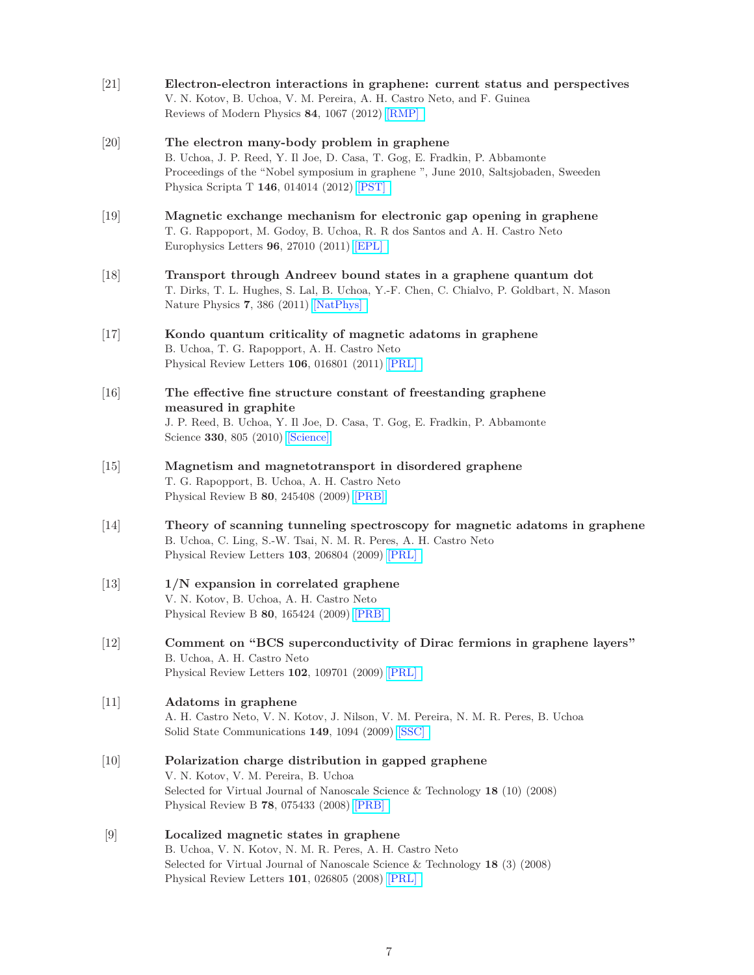- [21] **Electron-electron interactions in graphene: current status and perspectives** V. N. Kotov, B. Uchoa, V. M. Pereira, A. H. Castro Neto, and F. Guinea Reviews of Modern Physics **84**, 1067 (2012) [\[RMP\]](http://link.aps.org/doi/10.1103/RevModPhys.84.1067)
- [20] **The electron many-body problem in graphene** B. Uchoa, J. P. Reed, Y. Il Joe, D. Casa, T. Gog, E. Fradkin, P. Abbamonte Proceedings of the "Nobel symposium in graphene ", June 2010, Saltsjobaden, Sweeden Physica Scripta T **146**, 014014 (2012) [\[PST\]](http://iopscience.iop.org/1402-4896/2012/T146/014014/)
- [19] **Magnetic exchange mechanism for electronic gap opening in graphene** T. G. Rappoport, M. Godoy, B. Uchoa, R. R dos Santos and A. H. Castro Neto Europhysics Letters **96**, 27010 (2011) [\[EPL\]](http://iopscience.iop.org/0295-5075/96/2/27010/)
- [18] **Transport through Andreev bound states in a graphene quantum dot** T. Dirks, T. L. Hughes, S. Lal, B. Uchoa, Y.-F. Chen, C. Chialvo, P. Goldbart, N. Mason Nature Physics **7**, 386 (2011) [\[NatPhys\]](http://www.nature.com/nphys/journal/v7/n5/full/nphys1911.html)
- [17] **Kondo quantum criticality of magnetic adatoms in graphene** B. Uchoa, T. G. Rapopport, A. H. Castro Neto Physical Review Letters **106**, 016801 (2011) [\[PRL\]](http://prl.aps.org/abstract/PRL/v106/i1/e016801)
- [16] **The effective fine structure constant of freestanding graphene measured in graphite** J. P. Reed, B. Uchoa, Y. Il Joe, D. Casa, T. Gog, E. Fradkin, P. Abbamonte Science **330**, 805 (2010) [\[Science\]](https://science.sciencemag.org/content/330/6005/805)
- [15] **Magnetism and magnetotransport in disordered graphene** T. G. Rapopport, B. Uchoa, A. H. Castro Neto Physical Review B **80**, 245408 (2009) [\[PRB\]](http://link.aps.org/doi/10.1103/PhysRevB.80.245408)
- [14] **Theory of scanning tunneling spectroscopy for magnetic adatoms in graphene** B. Uchoa, C. Ling, S.-W. Tsai, N. M. R. Peres, A. H. Castro Neto Physical Review Letters **103**, 206804 (2009) [\[PRL\]](http://link.aps.org/doi/10.1103/PhysRevLett.103.206804)
- [13] **1/N expansion in correlated graphene** V. N. Kotov, B. Uchoa, A. H. Castro Neto Physical Review B **80**, 165424 (2009) [\[PRB\]](http://link.aps.org/doi/10.1103/PhysRevB.80.165424)
- [12] **Comment on "BCS superconductivity of Dirac fermions in graphene layers"** B. Uchoa, A. H. Castro Neto Physical Review Letters **102**, 109701 (2009) [\[PRL\]](http://link.aps.org/doi/10.1103/PhysRevLett.102.109701)
- [11] **Adatoms in graphene** A. H. Castro Neto, V. N. Kotov, J. Nilson, V. M. Pereira, N. M. R. Peres, B. Uchoa Solid State Communications **149**, 1094 (2009) [\[SSC\]](http://www.sciencedirect.com/science/journal/00381098)
- [10] **Polarization charge distribution in gapped graphene** V. N. Kotov, V. M. Pereira, B. Uchoa Selected for Virtual Journal of Nanoscale Science & Technology **18** (10) (2008) Physical Review B **78**, 075433 (2008) [\[PRB\]](http://link.aps.org/doi/10.1103/PhysRevB.78.075433)
- [9] **Localized magnetic states in graphene** B. Uchoa, V. N. Kotov, N. M. R. Peres, A. H. Castro Neto Selected for Virtual Journal of Nanoscale Science & Technology **18** (3) (2008) Physical Review Letters **101**, 026805 (2008) [\[PRL\]](http://link.aps.org/doi/10.1103/PhysRevLett.101.026805)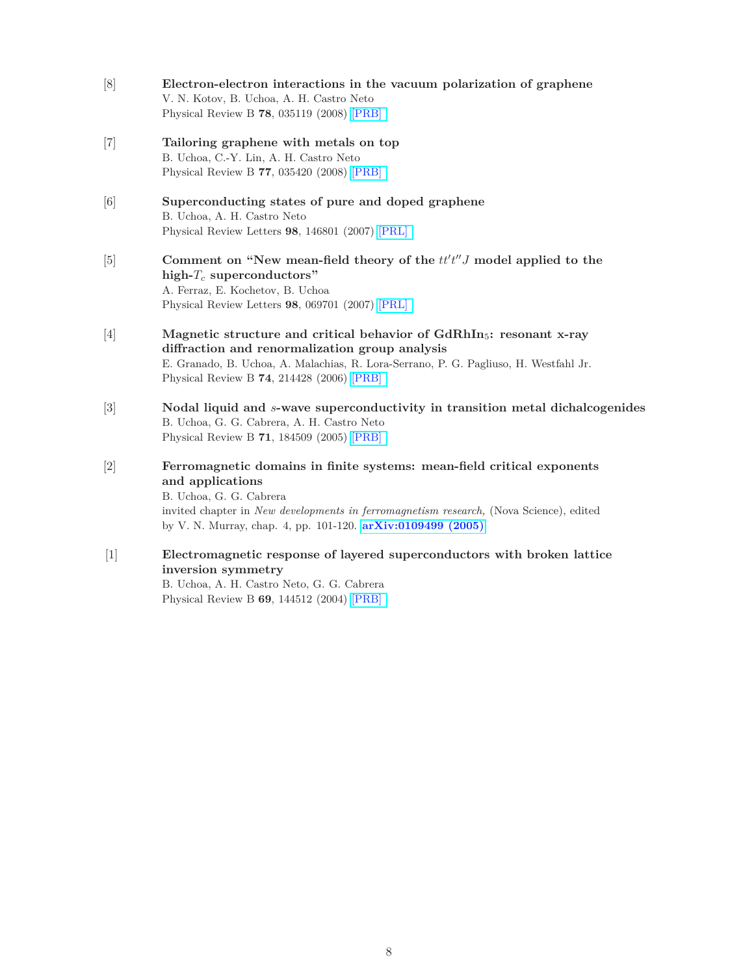- [8] **Electron-electron interactions in the vacuum polarization of graphene** V. N. Kotov, B. Uchoa, A. H. Castro Neto Physical Review B **78**, 035119 (2008) [\[PRB\]](http://link.aps.org/doi/10.1103/PhysRevB.78.035119)
- [7] **Tailoring graphene with metals on top** B. Uchoa, C.-Y. Lin, A. H. Castro Neto Physical Review B **77**, 035420 (2008) [\[PRB\]](http://link.aps.org/doi/10.1103/PhysRevB.77.035420)
- [6] **Superconducting states of pure and doped graphene** B. Uchoa, A. H. Castro Neto Physical Review Letters **98**, 146801 (2007) [\[PRL\]](http://link.aps.org/doi/10.1103/PhysRevLett.98.146801)
- [5] **Comment on "New mean-field theory of the**  $tt't''J$  model applied to the **high-***T<sup>c</sup>* **superconductors"** A. Ferraz, E. Kochetov, B. Uchoa Physical Review Letters **98**, 069701 (2007) [\[PRL\]](http://link.aps.org/doi/10.1103/PhysRevLett.98.069701)
- [4] **Magnetic structure and critical behavior of GdRhIn**5**: resonant x-ray diffraction and renormalization group analysis** E. Granado, B. Uchoa, A. Malachias, R. Lora-Serrano, P. G. Pagliuso, H. Westfahl Jr. Physical Review B **74**, 214428 (2006) [\[PRB\]](http://link.aps.org/doi/10.1103/PhysRevB.74.214428)
- [3] **Nodal liquid and** *s***-wave superconductivity in transition metal dichalcogenides** B. Uchoa, G. G. Cabrera, A. H. Castro Neto Physical Review B **71**, 184509 (2005) [\[PRB\]](http://link.aps.org/doi/10.1103/PhysRevB.71.184509)
- [2] **Ferromagnetic domains in finite systems: mean-field critical exponents and applications** B. Uchoa, G. G. Cabrera invited chapter in *New developments in ferromagnetism research,* (Nova Science), edited by V. N. Murray, chap. 4, pp. 101-120. **[arXiv:0109499 \(2005\)](http://arxiv.org/abs/cond-mat/0109499)**
- [1] **Electromagnetic response of layered superconductors with broken lattice inversion symmetry** B. Uchoa, A. H. Castro Neto, G. G. Cabrera Physical Review B **69**, 144512 (2004) [\[PRB\]](http://link.aps.org/doi/10.1103/PhysRevB.69.144512)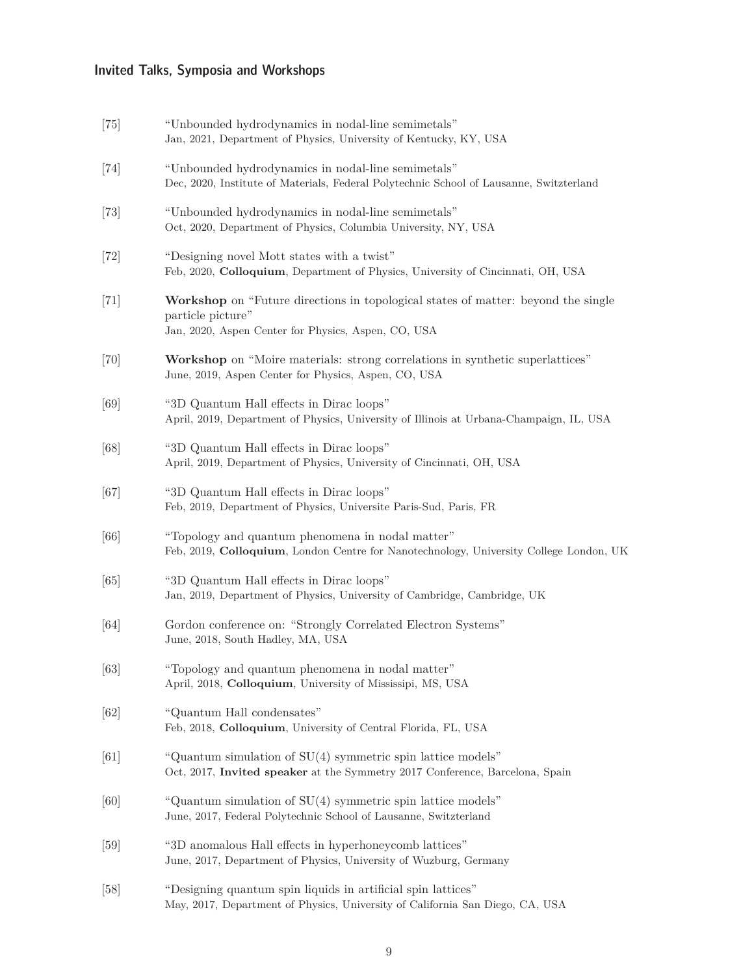# Invited Talks, Symposia and Workshops

| $[75]$ | "Unbounded hydrodynamics in nodal-line semimetals"<br>Jan, 2021, Department of Physics, University of Kentucky, KY, USA                                       |
|--------|---------------------------------------------------------------------------------------------------------------------------------------------------------------|
| $[74]$ | "Unbounded hydrodynamics in nodal-line semimetals"<br>Dec, 2020, Institute of Materials, Federal Polytechnic School of Lausanne, Switzterland                 |
| $[73]$ | "Unbounded hydrodynamics in nodal-line semimetals"<br>Oct, 2020, Department of Physics, Columbia University, NY, USA                                          |
| $[72]$ | "Designing novel Mott states with a twist"<br>Feb, 2020, Colloquium, Department of Physics, University of Cincinnati, OH, USA                                 |
| $[71]$ | Workshop on "Future directions in topological states of matter: beyond the single<br>particle picture"<br>Jan, 2020, Aspen Center for Physics, Aspen, CO, USA |
| [70]   | Workshop on "Moire materials: strong correlations in synthetic superlattices"<br>June, 2019, Aspen Center for Physics, Aspen, CO, USA                         |
| [69]   | "3D Quantum Hall effects in Dirac loops"<br>April, 2019, Department of Physics, University of Illinois at Urbana-Champaign, IL, USA                           |
| [68]   | "3D Quantum Hall effects in Dirac loops"<br>April, 2019, Department of Physics, University of Cincinnati, OH, USA                                             |
| [67]   | "3D Quantum Hall effects in Dirac loops"<br>Feb, 2019, Department of Physics, Universite Paris-Sud, Paris, FR                                                 |
| [66]   | "Topology and quantum phenomena in nodal matter"<br>Feb, 2019, Colloquium, London Centre for Nanotechnology, University College London, UK                    |
| [65]   | "3D Quantum Hall effects in Dirac loops"<br>Jan, 2019, Department of Physics, University of Cambridge, Cambridge, UK                                          |
| [64]   | Gordon conference on: "Strongly Correlated Electron Systems"<br>June, 2018, South Hadley, MA, USA                                                             |
| $[63]$ | "Topology and quantum phenomena in nodal matter"<br>April, 2018, Colloquium, University of Mississipi, MS, USA                                                |
| [62]   | "Quantum Hall condensates"<br>Feb, 2018, Colloquium, University of Central Florida, FL, USA                                                                   |
| [61]   | "Quantum simulation of SU(4) symmetric spin lattice models"<br>Oct, 2017, Invited speaker at the Symmetry 2017 Conference, Barcelona, Spain                   |
| [60]   | "Quantum simulation of SU(4) symmetric spin lattice models"<br>June, 2017, Federal Polytechnic School of Lausanne, Switzterland                               |
| [59]   | "3D anomalous Hall effects in hyperhoneycomb lattices"<br>June, 2017, Department of Physics, University of Wuzburg, Germany                                   |
| [58]   | "Designing quantum spin liquids in artificial spin lattices"<br>May, 2017, Department of Physics, University of California San Diego, CA, USA                 |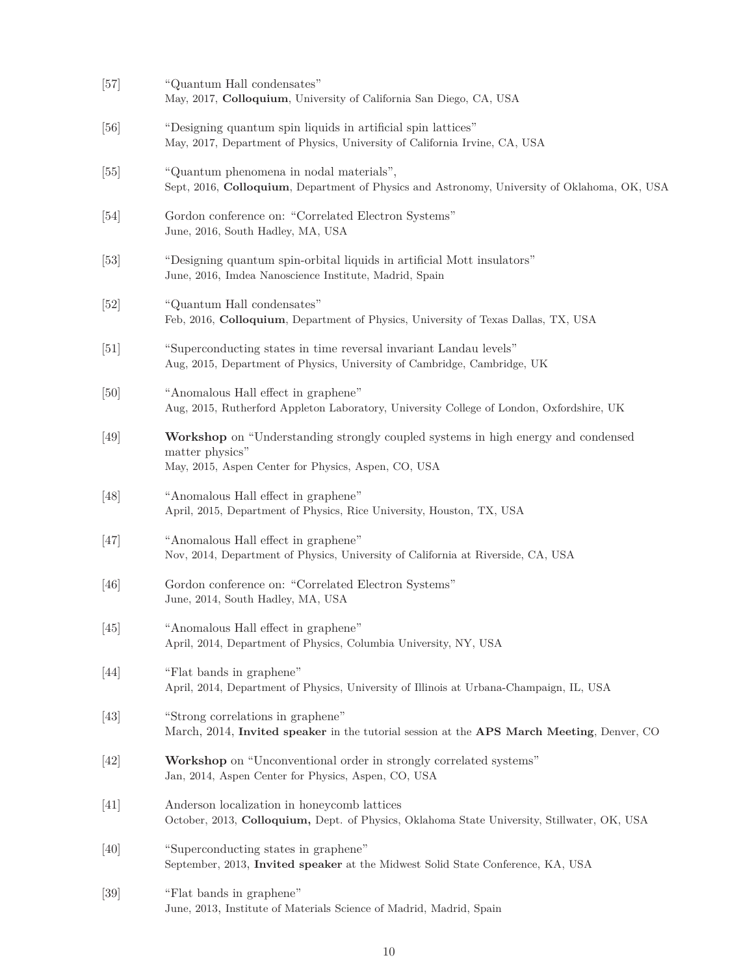| $[57]$ | "Quantum Hall condensates"<br>May, 2017, Colloquium, University of California San Diego, CA, USA                                                           |
|--------|------------------------------------------------------------------------------------------------------------------------------------------------------------|
| [56]   | "Designing quantum spin liquids in artificial spin lattices"<br>May, 2017, Department of Physics, University of California Irvine, CA, USA                 |
| [55]   | "Quantum phenomena in nodal materials",<br>Sept, 2016, Colloquium, Department of Physics and Astronomy, University of Oklahoma, OK, USA                    |
| $[54]$ | Gordon conference on: "Correlated Electron Systems"<br>June, 2016, South Hadley, MA, USA                                                                   |
| $[53]$ | "Designing quantum spin-orbital liquids in artificial Mott insulators"<br>June, 2016, Imdea Nanoscience Institute, Madrid, Spain                           |
| [52]   | "Quantum Hall condensates"<br>Feb, 2016, Colloquium, Department of Physics, University of Texas Dallas, TX, USA                                            |
| [51]   | "Superconducting states in time reversal invariant Landau levels"<br>Aug, 2015, Department of Physics, University of Cambridge, Cambridge, UK              |
| [50]   | "Anomalous Hall effect in graphene"<br>Aug, 2015, Rutherford Appleton Laboratory, University College of London, Oxfordshire, UK                            |
| [49]   | Workshop on "Understanding strongly coupled systems in high energy and condensed<br>matter physics"<br>May, 2015, Aspen Center for Physics, Aspen, CO, USA |
| [48]   | "Anomalous Hall effect in graphene"<br>April, 2015, Department of Physics, Rice University, Houston, TX, USA                                               |
| [47]   | "Anomalous Hall effect in graphene"<br>Nov, 2014, Department of Physics, University of California at Riverside, CA, USA                                    |
| [46]   | Gordon conference on: "Correlated Electron Systems"<br>June, 2014, South Hadley, MA, USA                                                                   |
| $[45]$ | "Anomalous Hall effect in graphene"<br>April, 2014, Department of Physics, Columbia University, NY, USA                                                    |
| $[44]$ | "Flat bands in graphene"<br>April, 2014, Department of Physics, University of Illinois at Urbana-Champaign, IL, USA                                        |
| [43]   | "Strong correlations in graphene"<br>March, 2014, Invited speaker in the tutorial session at the APS March Meeting, Denver, CO                             |
| [42]   | Workshop on "Unconventional order in strongly correlated systems"<br>Jan, 2014, Aspen Center for Physics, Aspen, CO, USA                                   |
| [41]   | Anderson localization in honeycomb lattices<br>October, 2013, Colloquium, Dept. of Physics, Oklahoma State University, Stillwater, OK, USA                 |
| [40]   | "Superconducting states in graphene"<br>September, 2013, Invited speaker at the Midwest Solid State Conference, KA, USA                                    |
| [39]   | "Flat bands in graphene"<br>June, 2013, Institute of Materials Science of Madrid, Madrid, Spain                                                            |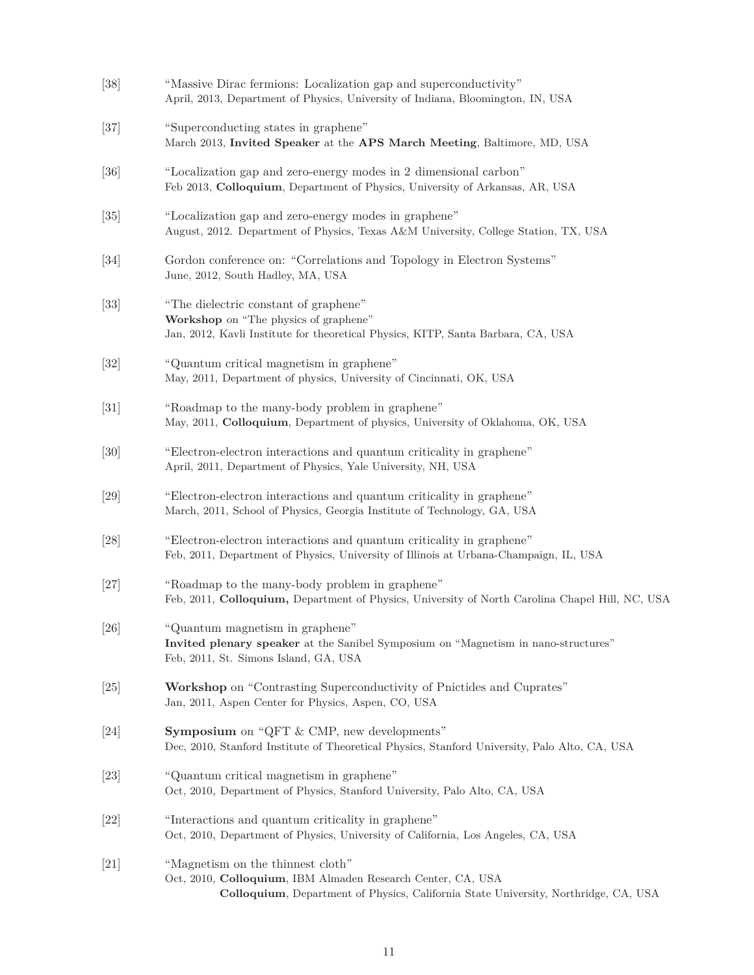| $[38]$            | "Massive Dirac fermions: Localization gap and superconductivity"<br>April, 2013, Department of Physics, University of Indiana, Bloomington, IN, USA                                     |
|-------------------|-----------------------------------------------------------------------------------------------------------------------------------------------------------------------------------------|
| [37]              | "Superconducting states in graphene"<br>March 2013, Invited Speaker at the APS March Meeting, Baltimore, MD, USA                                                                        |
| [36]              | "Localization gap and zero-energy modes in 2 dimensional carbon"<br>Feb 2013, Colloquium, Department of Physics, University of Arkansas, AR, USA                                        |
| $\left[35\right]$ | "Localization gap and zero-energy modes in graphene"<br>August, 2012. Department of Physics, Texas A&M University, College Station, TX, USA                                             |
| [34]              | Gordon conference on: "Correlations and Topology in Electron Systems"<br>June, 2012, South Hadley, MA, USA                                                                              |
| $\left[33\right]$ | "The dielectric constant of graphene"<br>Workshop on "The physics of graphene"<br>Jan, 2012, Kavli Institute for theoretical Physics, KITP, Santa Barbara, CA, USA                      |
| $\left[32\right]$ | "Quantum critical magnetism in graphene"<br>May, 2011, Department of physics, University of Cincinnati, OK, USA                                                                         |
| $\left[31\right]$ | "Roadmap to the many-body problem in graphene"<br>May, 2011, Colloquium, Department of physics, University of Oklahoma, OK, USA                                                         |
| [30]              | "Electron-electron interactions and quantum criticality in graphene"<br>April, 2011, Department of Physics, Yale University, NH, USA                                                    |
| $[29]$            | "Electron-electron interactions and quantum criticality in graphene"<br>March, 2011, School of Physics, Georgia Institute of Technology, GA, USA                                        |
| $[28]$            | "Electron-electron interactions and quantum criticality in graphene"<br>Feb, 2011, Department of Physics, University of Illinois at Urbana-Champaign, IL, USA                           |
| $[27]$            | "Roadmap to the many-body problem in graphene"<br>Feb, 2011, Colloquium, Department of Physics, University of North Carolina Chapel Hill, NC, USA                                       |
| $[26]$            | "Quantum magnetism in graphene"<br>Invited plenary speaker at the Sanibel Symposium on "Magnetism in nano-structures"<br>Feb, 2011, St. Simons Island, GA, USA                          |
| $\left[25\right]$ | Workshop on "Contrasting Superconductivity of Pnictides and Cuprates"<br>Jan, 2011, Aspen Center for Physics, Aspen, CO, USA                                                            |
| [24]              | <b>Symposium</b> on "QFT & CMP, new developments"<br>Dec, 2010, Stanford Institute of Theoretical Physics, Stanford University, Palo Alto, CA, USA                                      |
| $[23]$            | "Quantum critical magnetism in graphene"<br>Oct, 2010, Department of Physics, Stanford University, Palo Alto, CA, USA                                                                   |
| $[22]$            | "Interactions and quantum criticality in graphene"<br>Oct, 2010, Department of Physics, University of California, Los Angeles, CA, USA                                                  |
| $[21]$            | "Magnetism on the thinnest cloth"<br>Oct, 2010, Colloquium, IBM Almaden Research Center, CA, USA<br>Colloquium, Department of Physics, California State University, Northridge, CA, USA |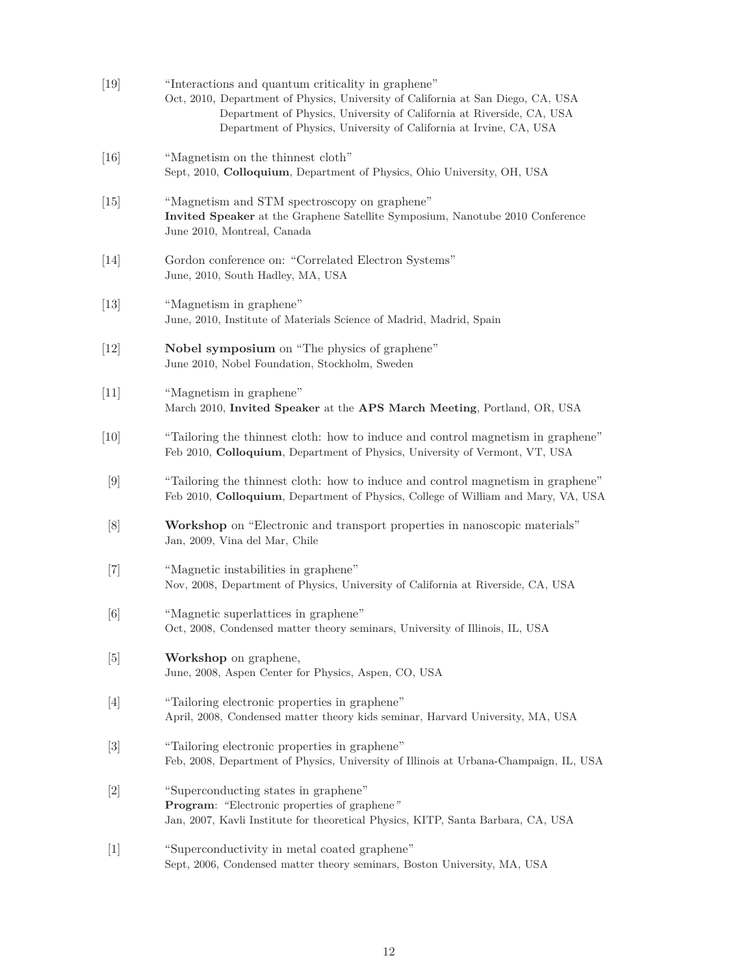| $[19]$ | "Interactions and quantum criticality in graphene"<br>Oct, 2010, Department of Physics, University of California at San Diego, CA, USA<br>Department of Physics, University of California at Riverside, CA, USA<br>Department of Physics, University of California at Irvine, CA, USA |
|--------|---------------------------------------------------------------------------------------------------------------------------------------------------------------------------------------------------------------------------------------------------------------------------------------|
| [16]   | "Magnetism on the thinnest cloth"<br>Sept, 2010, Colloquium, Department of Physics, Ohio University, OH, USA                                                                                                                                                                          |
| $[15]$ | "Magnetism and STM spectroscopy on graphene"<br>Invited Speaker at the Graphene Satellite Symposium, Nanotube 2010 Conference<br>June 2010, Montreal, Canada                                                                                                                          |
| [14]   | Gordon conference on: "Correlated Electron Systems"<br>June, 2010, South Hadley, MA, USA                                                                                                                                                                                              |
| $[13]$ | "Magnetism in graphene"<br>June, 2010, Institute of Materials Science of Madrid, Madrid, Spain                                                                                                                                                                                        |
| $[12]$ | Nobel symposium on "The physics of graphene"<br>June 2010, Nobel Foundation, Stockholm, Sweden                                                                                                                                                                                        |
| $[11]$ | "Magnetism in graphene"<br>March 2010, Invited Speaker at the APS March Meeting, Portland, OR, USA                                                                                                                                                                                    |
| [10]   | "Tailoring the thinnest cloth: how to induce and control magnetism in graphene"<br>Feb 2010, Colloquium, Department of Physics, University of Vermont, VT, USA                                                                                                                        |
| $[9]$  | "Tailoring the thinnest cloth: how to induce and control magnetism in graphene"<br>Feb 2010, Colloquium, Department of Physics, College of William and Mary, VA, USA                                                                                                                  |
| [8]    | Workshop on "Electronic and transport properties in nanoscopic materials"<br>Jan, 2009, Vina del Mar, Chile                                                                                                                                                                           |
| $[7]$  | "Magnetic instabilities in graphene"<br>Nov, 2008, Department of Physics, University of California at Riverside, CA, USA                                                                                                                                                              |
| [6]    | "Magnetic superlattices in graphene"<br>Oct, 2008, Condensed matter theory seminars, University of Illinois, IL, USA                                                                                                                                                                  |
| $[5]$  | Workshop on graphene,<br>June, 2008, Aspen Center for Physics, Aspen, CO, USA                                                                                                                                                                                                         |
| $[4]$  | "Tailoring electronic properties in graphene"<br>April, 2008, Condensed matter theory kids seminar, Harvard University, MA, USA                                                                                                                                                       |
| $[3]$  | "Tailoring electronic properties in graphene"<br>Feb, 2008, Department of Physics, University of Illinois at Urbana-Champaign, IL, USA                                                                                                                                                |
| $[2]$  | "Superconducting states in graphene"<br>Program: "Electronic properties of graphene"<br>Jan, 2007, Kavli Institute for theoretical Physics, KITP, Santa Barbara, CA, USA                                                                                                              |
| $[1]$  | "Superconductivity in metal coated graphene"<br>Sept, 2006, Condensed matter theory seminars, Boston University, MA, USA                                                                                                                                                              |